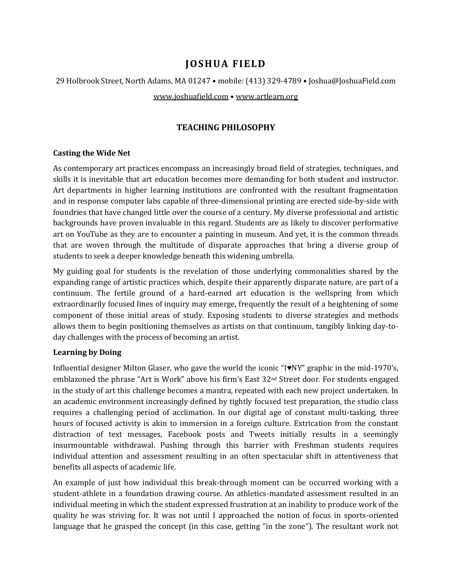# **J OS HUA FIE LD**

29 Holbrook Street, North Adams, MA 01247 • mobile: (413) 329-4789 • Joshua@JoshuaField.com

#### www.joshuafield.com • www.artlearn.org

## **TEACHING PHILOSOPHY**

#### **Casting the Wide Net**

As contemporary art practices encompass an increasingly broad field of strategies, techniques, and skills it is inevitable that art education becomes more demanding for both student and instructor. Art departments in higher learning institutions are confronted with the resultant fragmentation and in response computer labs capable of three-dimensional printing are erected side-by-side with foundries that have changed little over the course of a century. My diverse professional and artistic backgrounds have proven invaluable in this regard. Students are as likely to discover performative art on YouTube as they are to encounter a painting in museum. And yet, it is the common threads that are woven through the multitude of disparate approaches that bring a diverse group of students to seek a deeper knowledge beneath this widening umbrella.

My guiding goal for students is the revelation of those underlying commonalities shared by the expanding range of artistic practices which, despite their apparently disparate nature, are part of a continuum. The fertile ground of a hard-earned art education is the wellspring from which extraordinarily focused lines of inquiry may emerge, frequently the result of a heightening of some component of those initial areas of study. Exposing students to diverse strategies and methods allows them to begin positioning themselves as artists on that continuum, tangibly linking day-today challenges with the process of becoming an artist.

### **Learning by Doing**

Influential designer Milton Glaser, who gave the world the iconic "I♥NY" graphic in the mid-1970's, emblazoned the phrase "Art is Work" above his firm's East 32nd Street door. For students engaged in the study of art this challenge becomes a mantra, repeated with each new project undertaken. In an academic environment increasingly defined by tightly focused test preparation, the studio class requires a challenging period of acclimation. In our digital age of constant multi-tasking, three hours of focused activity is akin to immersion in a foreign culture. Extrication from the constant distraction of text messages, Facebook posts and Tweets initially results in a seemingly insurmountable withdrawal. Pushing through this barrier with Freshman students requires individual attention and assessment resulting in an often spectacular shift in attentiveness that benefits all aspects of academic life.

An example of just how individual this break-through moment can be occurred working with a student-athlete in a foundation drawing course. An athletics-mandated assessment resulted in an individual meeting in which the student expressed frustration at an inability to produce work of the quality he was striving for. It was not until I approached the notion of focus in sports-oriented language that he grasped the concept (in this case, getting "in the zone"). The resultant work not